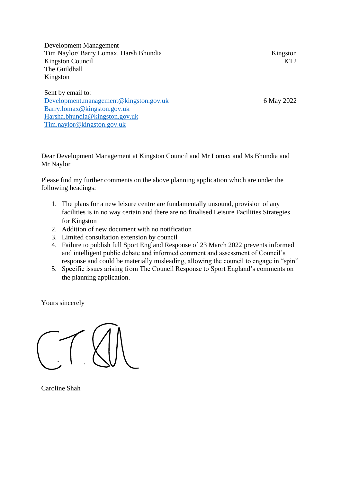Development Management Tim Naylor/ Barry Lomax. Harsh Bhundia Kingston Council The Guildhall Kingston

Sent by email to: [Development.management@kingston.gov.uk](mailto:Development.management@kingston.gov.uk) [Barry.lomax@kingston.gov.uk](mailto:Barry.lomax@kingston.gov.uk) [Harsha.bhundia@kingston.gov.uk](mailto:Harsha.bhundia@kingston.gov.uk) [Tim.naylor@kingston.gov.uk](mailto:Tim.naylor@kingston.gov.uk)

Kingston KT<sub>2</sub>

6 May 2022

Dear Development Management at Kingston Council and Mr Lomax and Ms Bhundia and Mr Naylor

Please find my further comments on the above planning application which are under the following headings:

- 1. The plans for a new leisure centre are fundamentally unsound, provision of any facilities is in no way certain and there are no finalised Leisure Facilities Strategies for Kingston
- 2. Addition of new document with no notification
- 3. Limited consultation extension by council
- 4. Failure to publish full Sport England Response of 23 March 2022 prevents informed and intelligent public debate and informed comment and assessment of Council's response and could be materially misleading, allowing the council to engage in "spin"
- 5. Specific issues arising from The Council Response to Sport England's comments on the planning application.

Yours sincerely

Caroline Shah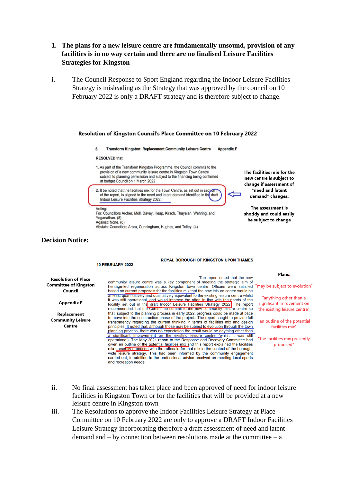- **1. The plans for a new leisure centre are fundamentally unsound, provision of any facilities is in no way certain and there are no finalised Leisure Facilities Strategies for Kingston**
- i. The Council Response to Sport England regarding the Indoor Leisure Facilities Strategy is misleading as the Strategy that was approved by the council on 10 February 2022 is only a DRAFT strategy and is therefore subject to change.



### **Decision Notice:**

#### **ROYAL BOROUGH OF KINGSTON UPON THAMES**

| <b>Resolution of Place</b><br><b>Committee of Kingston</b><br>Council | The report noted that the new<br>community leisure centre was a key component of meeting the strategic aim of<br>heritage-led regeneration across Kingston town centre. Officers were satisfied "ma<br>based on current proposals for the facilities mix that the new leisure centre would be                                                                                                                                                                                                                            |                 |
|-----------------------------------------------------------------------|--------------------------------------------------------------------------------------------------------------------------------------------------------------------------------------------------------------------------------------------------------------------------------------------------------------------------------------------------------------------------------------------------------------------------------------------------------------------------------------------------------------------------|-----------------|
| <b>Appendix F</b>                                                     | at least quantitatively and qualitatively equivalent to the existing leisure centre whilst<br>it was still operational_and would improve the offer, in line with the needs of the<br>locality set out in the draft Indoor Leisure Facilities Strategy 2022. The report<br>recommended that the committee commit to the new community leisure centre so                                                                                                                                                                   | <b>SI</b><br>t۲ |
| Replacement<br><b>Community Leisure</b><br>Centre                     | that, subject to the planning process in early 2022, progress could be made at pace<br>to move into the construction phase of the project The report sought to provide full<br>transparency regarding the current thinking in terms of facilities mix and design<br>principles. It noted that, although those may be subject to evolution through the town<br>planning process, there was no expectation the result would be anything other than                                                                         | "a              |
|                                                                       | a significant improvement on the existing leisure centre (whilst it was still<br>operational). The May 2021 report to the Response and Recovery Committee had<br>given an outline of the potential facilities mix and this report explained the facilities<br>mix presently proposed with the rationale for that mix in the context of the borough-<br>wide leisure strategy. This had been informed by the community engagement<br>carried out, in addition to the professional advice received on meeting local sports | "t              |

**10 FEBRUARY 2022** 

and recreation needs.

#### Plans:

ay be subject to evolution"

"anything other than a gnificant imrovement on ne existing leisure centre"

In outline of the potential facilities mix"

the facilities mix presently proposed"

- ii. No final assessment has taken place and been approved of need for indoor leisure facilities in Kingston Town or for the facilities that will be provided at a new leisure centre in Kingston town
- iii. The Resolutions to approve the Indoor Facilities Leisure Strategy at Place Committee on 10 February 2022 are only to approve a DRAFT Indoor Facilities Leisure Strategy incorporating therefore a draft assessment of need and latent demand and  $-$  by connection between resolutions made at the committee  $-$  a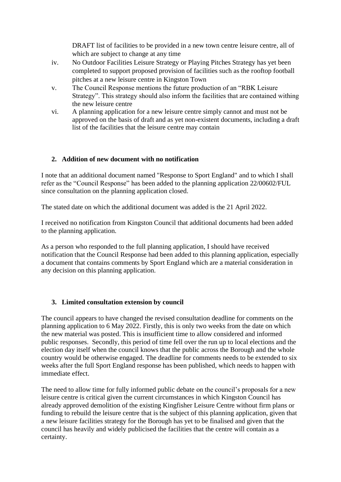DRAFT list of facilities to be provided in a new town centre leisure centre, all of which are subject to change at any time

- iv. No Outdoor Facilities Leisure Strategy or Playing Pitches Strategy has yet been completed to support proposed provision of facilities such as the rooftop football pitches at a new leisure centre in Kingston Town
- v. The Council Response mentions the future production of an "RBK Leisure Strategy". This strategy should also inform the facilities that are contained withing the new leisure centre
- vi. A planning application for a new leisure centre simply cannot and must not be approved on the basis of draft and as yet non-existent documents, including a draft list of the facilities that the leisure centre may contain

# **2. Addition of new document with no notification**

I note that an additional document named "Response to Sport England" and to which I shall refer as the "Council Response" has been added to the planning application 22/00602/FUL since consultation on the planning application closed.

The stated date on which the additional document was added is the 21 April 2022.

I received no notification from Kingston Council that additional documents had been added to the planning application.

As a person who responded to the full planning application, I should have received notification that the Council Response had been added to this planning application, especially a document that contains comments by Sport England which are a material consideration in any decision on this planning application.

## **3. Limited consultation extension by council**

The council appears to have changed the revised consultation deadline for comments on the planning application to 6 May 2022. Firstly, this is only two weeks from the date on which the new material was posted. This is insufficient time to allow considered and informed public responses. Secondly, this period of time fell over the run up to local elections and the election day itself when the council knows that the public across the Borough and the whole country would be otherwise engaged. The deadline for comments needs to be extended to six weeks after the full Sport England response has been published, which needs to happen with immediate effect.

The need to allow time for fully informed public debate on the council's proposals for a new leisure centre is critical given the current circumstances in which Kingston Council has already approved demolition of the existing Kingfisher Leisure Centre without firm plans or funding to rebuild the leisure centre that is the subject of this planning application, given that a new leisure facilities strategy for the Borough has yet to be finalised and given that the council has heavily and widely publicised the facilities that the centre will contain as a certainty.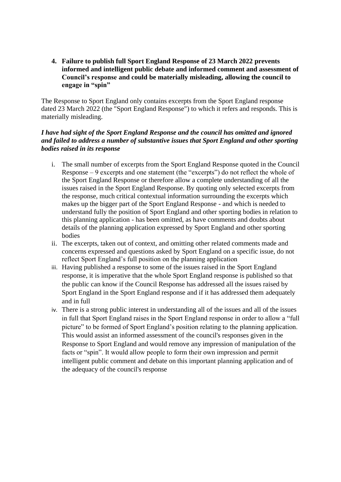**4. Failure to publish full Sport England Response of 23 March 2022 prevents informed and intelligent public debate and informed comment and assessment of Council's response and could be materially misleading, allowing the council to engage in "spin"** 

The Response to Sport England only contains excerpts from the Sport England response dated 23 March 2022 (the "Sport England Response") to which it refers and responds. This is materially misleading.

## *I have had sight of the Sport England Response and the council has omitted and ignored and failed to address a number of substantive issues that Sport England and other sporting bodies raised in its response*

- i. The small number of excerpts from the Sport England Response quoted in the Council Response – 9 excerpts and one statement (the "excerpts") do not reflect the whole of the Sport England Response or therefore allow a complete understanding of all the issues raised in the Sport England Response. By quoting only selected excerpts from the response, much critical contextual information surrounding the excerpts which makes up the bigger part of the Sport England Response - and which is needed to understand fully the position of Sport England and other sporting bodies in relation to this planning application - has been omitted, as have comments and doubts about details of the planning application expressed by Sport England and other sporting bodies
- ii. The excerpts, taken out of context, and omitting other related comments made and concerns expressed and questions asked by Sport England on a specific issue, do not reflect Sport England's full position on the planning application
- iii. Having published a response to some of the issues raised in the Sport England response, it is imperative that the whole Sport England response is published so that the public can know if the Council Response has addressed all the issues raised by Sport England in the Sport England response and if it has addressed them adequately and in full
- iv. There is a strong public interest in understanding all of the issues and all of the issues in full that Sport England raises in the Sport England response in order to allow a "full picture" to be formed of Sport England's position relating to the planning application. This would assist an informed assessment of the council's responses given in the Response to Sport England and would remove any impression of manipulation of the facts or "spin". It would allow people to form their own impression and permit intelligent public comment and debate on this important planning application and of the adequacy of the council's response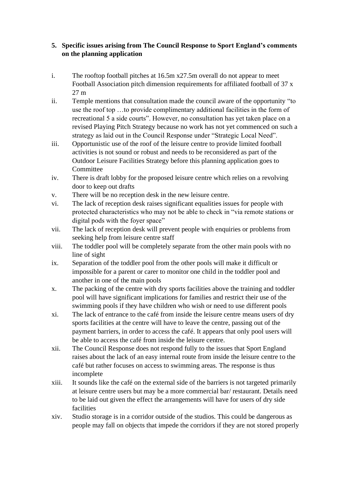# **5. Specific issues arising from The Council Response to Sport England's comments on the planning application**

- i. The rooftop football pitches at 16.5m x27.5m overall do not appear to meet Football Association pitch dimension requirements for affiliated football of 37 x 27 m
- ii. Temple mentions that consultation made the council aware of the opportunity "to use the roof top …to provide complimentary additional facilities in the form of recreational 5 a side courts". However, no consultation has yet taken place on a revised Playing Pitch Strategy because no work has not yet commenced on such a strategy as laid out in the Council Response under "Strategic Local Need".
- iii. Opportunistic use of the roof of the leisure centre to provide limited football activities is not sound or robust and needs to be reconsidered as part of the Outdoor Leisure Facilities Strategy before this planning application goes to Committee
- iv. There is draft lobby for the proposed leisure centre which relies on a revolving door to keep out drafts
- v. There will be no reception desk in the new leisure centre.
- vi. The lack of reception desk raises significant equalities issues for people with protected characteristics who may not be able to check in "via remote stations or digital pods with the foyer space"
- vii. The lack of reception desk will prevent people with enquiries or problems from seeking help from leisure centre staff
- viii. The toddler pool will be completely separate from the other main pools with no line of sight
- ix. Separation of the toddler pool from the other pools will make it difficult or impossible for a parent or carer to monitor one child in the toddler pool and another in one of the main pools
- x. The packing of the centre with dry sports facilities above the training and toddler pool will have significant implications for families and restrict their use of the swimming pools if they have children who wish or need to use different pools
- xi. The lack of entrance to the café from inside the leisure centre means users of dry sports facilities at the centre will have to leave the centre, passing out of the payment barriers, in order to access the café. It appears that only pool users will be able to access the café from inside the leisure centre.
- xii. The Council Response does not respond fully to the issues that Sport England raises about the lack of an easy internal route from inside the leisure centre to the café but rather focuses on access to swimming areas. The response is thus incomplete
- xiii. It sounds like the café on the external side of the barriers is not targeted primarily at leisure centre users but may be a more commercial bar/ restaurant. Details need to be laid out given the effect the arrangements will have for users of dry side facilities
- xiv. Studio storage is in a corridor outside of the studios. This could be dangerous as people may fall on objects that impede the corridors if they are not stored properly